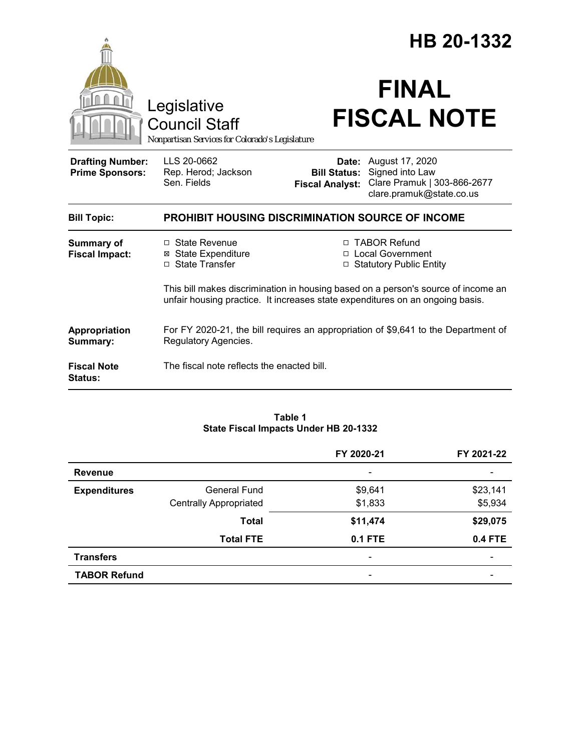|                                                   | Legislative<br><b>Council Staff</b><br>Nonpartisan Services for Colorado's Legislature                                                                             |                                                                        | HB 20-1332<br><b>FINAL</b><br><b>FISCAL NOTE</b>                                              |  |
|---------------------------------------------------|--------------------------------------------------------------------------------------------------------------------------------------------------------------------|------------------------------------------------------------------------|-----------------------------------------------------------------------------------------------|--|
| <b>Drafting Number:</b><br><b>Prime Sponsors:</b> | LLS 20-0662<br>Rep. Herod; Jackson<br>Sen. Fields                                                                                                                  | Date:<br><b>Bill Status:</b><br><b>Fiscal Analyst:</b>                 | August 17, 2020<br>Signed into Law<br>Clare Pramuk   303-866-2677<br>clare.pramuk@state.co.us |  |
| <b>Bill Topic:</b>                                | <b>PROHIBIT HOUSING DISCRIMINATION SOURCE OF INCOME</b>                                                                                                            |                                                                        |                                                                                               |  |
| <b>Summary of</b><br><b>Fiscal Impact:</b>        | $\Box$ State Revenue<br><b>⊠</b> State Expenditure<br>□ State Transfer                                                                                             | □ TABOR Refund<br>□ Local Government<br><b>Statutory Public Entity</b> |                                                                                               |  |
|                                                   | This bill makes discrimination in housing based on a person's source of income an<br>unfair housing practice. It increases state expenditures on an ongoing basis. |                                                                        |                                                                                               |  |
| Appropriation<br>Summary:                         | For FY 2020-21, the bill requires an appropriation of \$9,641 to the Department of<br>Regulatory Agencies.                                                         |                                                                        |                                                                                               |  |
| <b>Fiscal Note</b><br><b>Status:</b>              | The fiscal note reflects the enacted bill.                                                                                                                         |                                                                        |                                                                                               |  |

#### **Table 1 State Fiscal Impacts Under HB 20-1332**

|                     |                               | FY 2020-21                   | FY 2021-22               |
|---------------------|-------------------------------|------------------------------|--------------------------|
| <b>Revenue</b>      |                               | -                            | $\overline{\phantom{0}}$ |
| <b>Expenditures</b> | <b>General Fund</b>           | \$9,641                      | \$23,141                 |
|                     | <b>Centrally Appropriated</b> | \$1,833                      | \$5,934                  |
|                     | <b>Total</b>                  | \$11,474                     | \$29,075                 |
|                     | <b>Total FTE</b>              | <b>0.1 FTE</b>               | <b>0.4 FTE</b>           |
| <b>Transfers</b>    |                               | $\qquad \qquad \blacksquare$ |                          |
| <b>TABOR Refund</b> |                               | -                            |                          |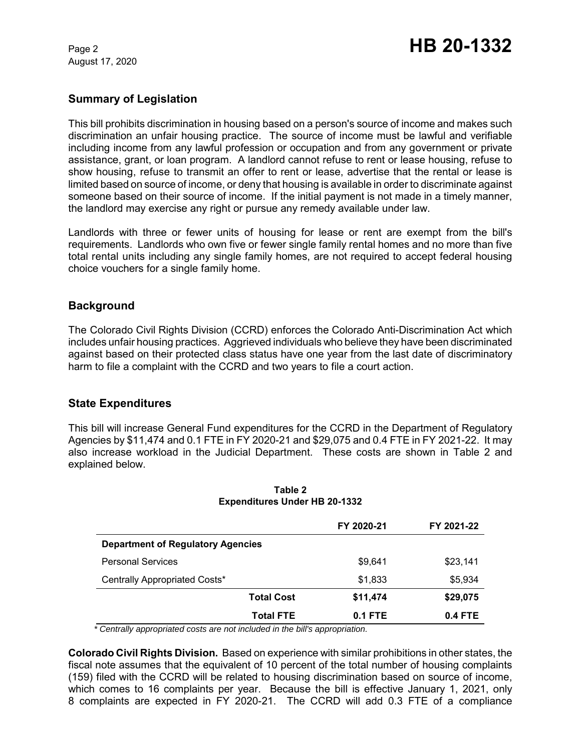August 17, 2020

# **Summary of Legislation**

This bill prohibits discrimination in housing based on a person's source of income and makes such discrimination an unfair housing practice. The source of income must be lawful and verifiable including income from any lawful profession or occupation and from any government or private assistance, grant, or loan program. A landlord cannot refuse to rent or lease housing, refuse to show housing, refuse to transmit an offer to rent or lease, advertise that the rental or lease is limited based on source of income, or deny that housing is available in order to discriminate against someone based on their source of income. If the initial payment is not made in a timely manner, the landlord may exercise any right or pursue any remedy available under law.

Landlords with three or fewer units of housing for lease or rent are exempt from the bill's requirements. Landlords who own five or fewer single family rental homes and no more than five total rental units including any single family homes, are not required to accept federal housing choice vouchers for a single family home.

# **Background**

The Colorado Civil Rights Division (CCRD) enforces the Colorado Anti-Discrimination Act which includes unfair housing practices. Aggrieved individuals who believe they have been discriminated against based on their protected class status have one year from the last date of discriminatory harm to file a complaint with the CCRD and two years to file a court action.

## **State Expenditures**

This bill will increase General Fund expenditures for the CCRD in the Department of Regulatory Agencies by \$11,474 and 0.1 FTE in FY 2020-21 and \$29,075 and 0.4 FTE in FY 2021-22. It may also increase workload in the Judicial Department. These costs are shown in Table 2 and explained below.

|                                          | FY 2020-21 | FY 2021-22 |
|------------------------------------------|------------|------------|
| <b>Department of Regulatory Agencies</b> |            |            |
| <b>Personal Services</b>                 | \$9.641    | \$23,141   |
| Centrally Appropriated Costs*            | \$1,833    | \$5,934    |
| <b>Total Cost</b>                        | \$11,474   | \$29,075   |
| <b>Total FTE</b>                         | $0.1$ FTE  | $0.4$ FTE  |

### **Table 2 Expenditures Under HB 20-1332**

 *\* Centrally appropriated costs are not included in the bill's appropriation.*

**Colorado Civil Rights Division.** Based on experience with similar prohibitions in other states, the fiscal note assumes that the equivalent of 10 percent of the total number of housing complaints (159) filed with the CCRD will be related to housing discrimination based on source of income, which comes to 16 complaints per year. Because the bill is effective January 1, 2021, only 8 complaints are expected in FY 2020-21. The CCRD will add 0.3 FTE of a compliance